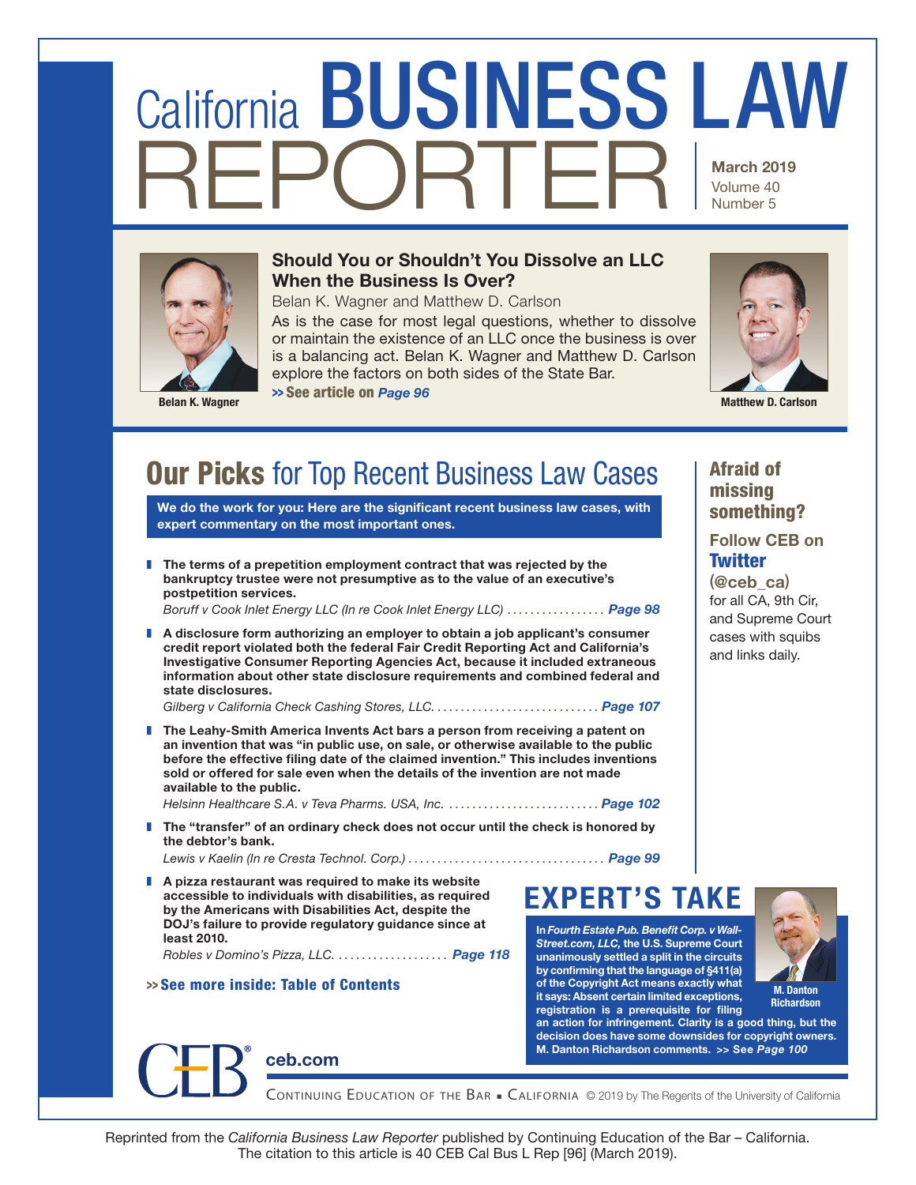# REPORTER March 2019 Volume 40 Number 5 California BUSINESS LAW



# Should You or Shouldn't You Dissolve an LLC When the Business Is Over?

Belan K. Wagner and Matthew D. Carlson

As is the case for most legal questions, whether to dissolve or maintain the existence of an LLC once the business is over is a balancing act. Belan K. Wagner and Matthew D. Carlson explore the factors on both sides of the State Bar. >> See article on *Page 96*



Belan K. Wagner Matthew D. Carlson Contractor Control of the Control of the Control of the Control of the Control of the Control of the Control of the Control of the Control of the Control of the Control of the Control of

# **Our Picks** for Top Recent Business Law Cases

We do the work for you: Here are the significant recent business law cases, with expert commentary on the most important ones.

 $\blacksquare$  The terms of a prepetition employment contract that was rejected by the bankruptcy trustee were not presumptive as to the value of an executive's postpetition services.

*Boruff v Cook Inlet Energy LLC (In re Cook Inlet Energy LLC)* ................. *Page 98*

A disclosure form authorizing an employer to obtain a job applicant's consumer credit report violated both the federal Fair Credit Reporting Act and California's Investigative Consumer Reporting Agencies Act, because it included extraneous information about other state disclosure requirements and combined federal and state disclosures.

*Gilberg v California Check Cashing Stores, LLC.* ............................ *Page 107*

**The Leahy-Smith America Invents Act bars a person from receiving a patent on** an invention that was "in public use, on sale, or otherwise available to the public before the effective filing date of the claimed invention." This includes inventions sold or offered for sale even when the details of the invention are not made available to the public.

*Helsinn Healthcare S.A. v Teva Pharms. USA, Inc.* .......................... *Page 102* **The "transfer" of an ordinary check does not occur until the check is honored by** 

- the debtor's bank. *Lewis v Kaelin (In re Cresta Technol. Corp.)* .................................. *Page 99*
- $\blacksquare$  A pizza restaurant was required to make its website accessible to individuals with disabilities, as required by the Americans with Disabilities Act, despite the DOJ's failure to provide regulatory guidance since at least 2010.

*Robles v Domino's Pizza, LLC.* ................... *Page 118*

[ceb.com](https://ceb.com/)

# >> See more inside: Table of Contents

EXPERT'S TAKE

In *Fourth Estate Pub. Benefit Corp. v Wall-Street.com, LLC,* the U.S. Supreme Court unanimously settled a split in the circuits by confirming that the language of §411(a) of the Copyright Act means exactly what it says: Absent certain limited exceptions, registration is a prerequisite for filing



Continuing EduCation of thE Bar <sup>&</sup>lt; California © 2019 by The Regents of the University of California

Afraid of missing something?

Follow CEB on **Twitter** 

(@ceb\_ca) for all CA, 9th Cir, and Supreme Court cases with squibs and links daily.

M. Danton **Richardson** 

Reprinted from the *California Business Law Reporter* published by Continuing Education of the Bar – California. The citation to this article is 40 CEB Cal Bus L Rep [96] (March 2019).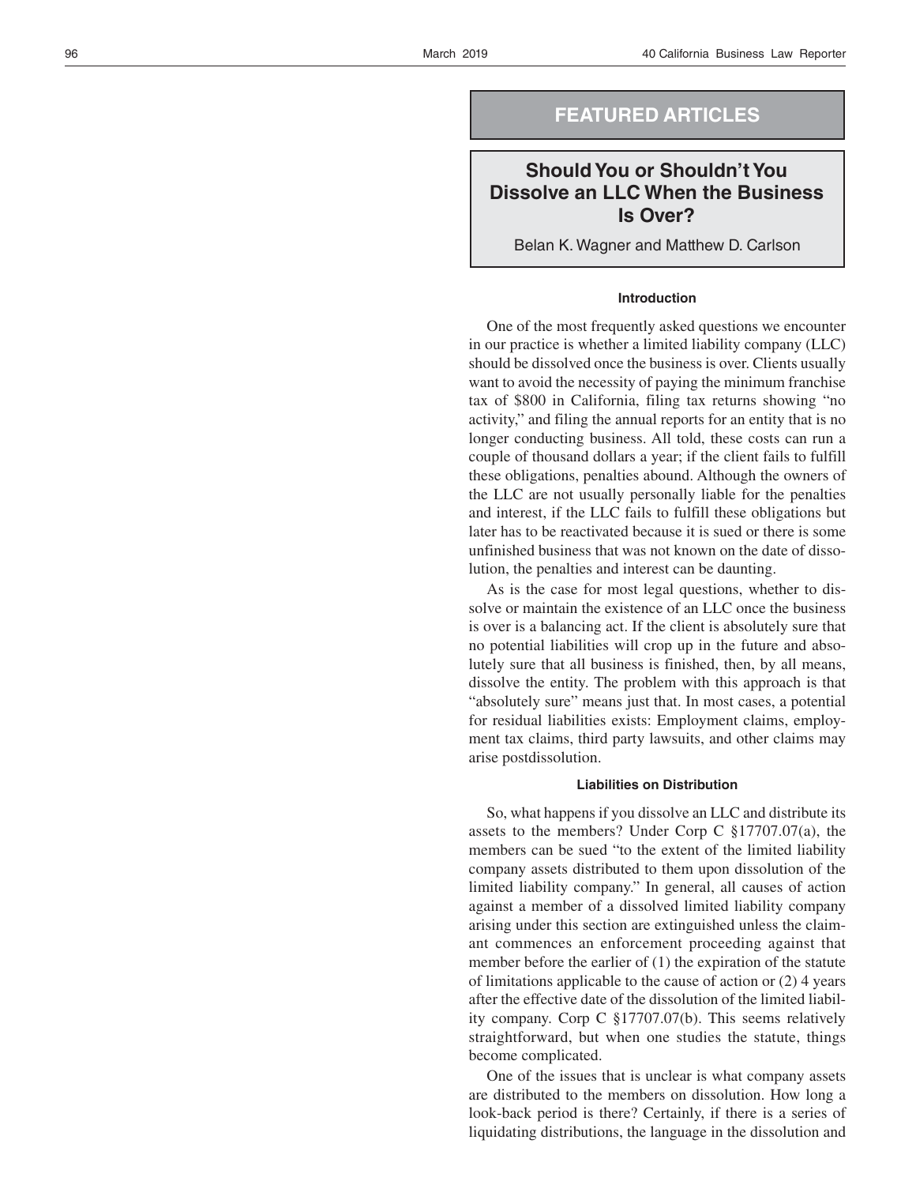# **FEATURED ARTICLES**

# **Should You or Shouldn't You Dissolve an LLC When the Business Is Over?**

Belan K. Wagner and Matthew D. Carlson

## **Introduction**

One of the most frequently asked questions we encounter in our practice is whether a limited liability company (LLC) should be dissolved once the business is over. Clients usually want to avoid the necessity of paying the minimum franchise tax of \$800 in California, filing tax returns showing "no activity," and filing the annual reports for an entity that is no longer conducting business. All told, these costs can run a couple of thousand dollars a year; if the client fails to fulfill these obligations, penalties abound. Although the owners of the LLC are not usually personally liable for the penalties and interest, if the LLC fails to fulfill these obligations but later has to be reactivated because it is sued or there is some unfinished business that was not known on the date of dissolution, the penalties and interest can be daunting.

As is the case for most legal questions, whether to dissolve or maintain the existence of an LLC once the business is over is a balancing act. If the client is absolutely sure that no potential liabilities will crop up in the future and absolutely sure that all business is finished, then, by all means, dissolve the entity. The problem with this approach is that "absolutely sure" means just that. In most cases, a potential for residual liabilities exists: Employment claims, employment tax claims, third party lawsuits, and other claims may arise postdissolution.

## **Liabilities on Distribution**

So, what happens if you dissolve an LLC and distribute its assets to the members? Under Corp C §17707.07(a), the members can be sued "to the extent of the limited liability company assets distributed to them upon dissolution of the limited liability company." In general, all causes of action against a member of a dissolved limited liability company arising under this section are extinguished unless the claimant commences an enforcement proceeding against that member before the earlier of (1) the expiration of the statute of limitations applicable to the cause of action or (2) 4 years after the effective date of the dissolution of the limited liability company. Corp C §17707.07(b). This seems relatively straightforward, but when one studies the statute, things become complicated.

One of the issues that is unclear is what company assets are distributed to the members on dissolution. How long a look-back period is there? Certainly, if there is a series of liquidating distributions, the language in the dissolution and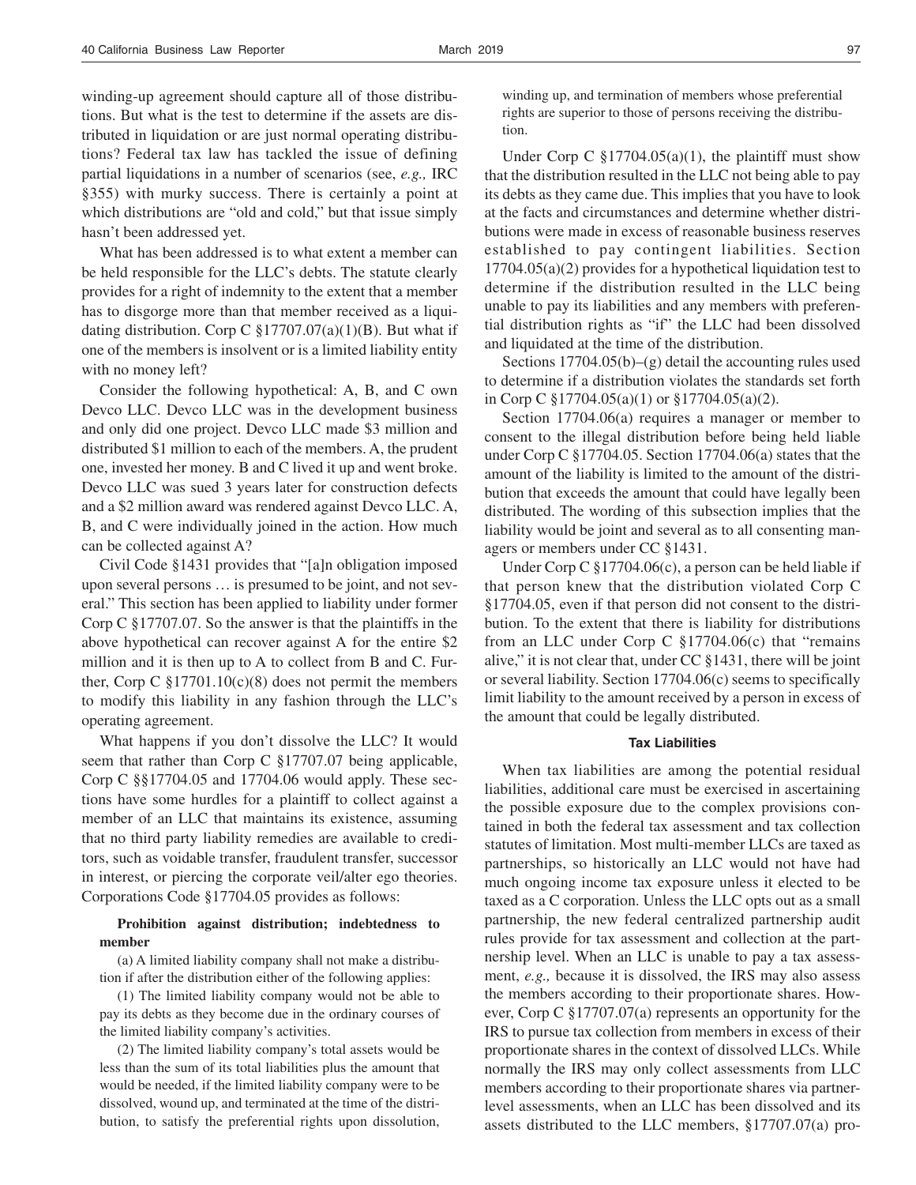winding-up agreement should capture all of those distributions. But what is the test to determine if the assets are distributed in liquidation or are just normal operating distributions? Federal tax law has tackled the issue of defining partial liquidations in a number of scenarios (see, *e.g.,* IRC §355) with murky success. There is certainly a point at which distributions are "old and cold," but that issue simply hasn't been addressed yet.

What has been addressed is to what extent a member can be held responsible for the LLC's debts. The statute clearly provides for a right of indemnity to the extent that a member has to disgorge more than that member received as a liquidating distribution. Corp C  $\S 17707.07(a)(1)(B)$ . But what if one of the members is insolvent or is a limited liability entity with no money left?

Consider the following hypothetical: A, B, and C own Devco LLC. Devco LLC was in the development business and only did one project. Devco LLC made \$3 million and distributed \$1 million to each of the members. A, the prudent one, invested her money. B and C lived it up and went broke. Devco LLC was sued 3 years later for construction defects and a \$2 million award was rendered against Devco LLC. A, B, and C were individually joined in the action. How much can be collected against A?

Civil Code §1431 provides that "[a]n obligation imposed upon several persons … is presumed to be joint, and not several." This section has been applied to liability under former Corp C §17707.07. So the answer is that the plaintiffs in the above hypothetical can recover against A for the entire \$2 million and it is then up to A to collect from B and C. Further, Corp C  $\S 17701.10(c)(8)$  does not permit the members to modify this liability in any fashion through the LLC's operating agreement.

What happens if you don't dissolve the LLC? It would seem that rather than Corp C §17707.07 being applicable, Corp C §§17704.05 and 17704.06 would apply. These sections have some hurdles for a plaintiff to collect against a member of an LLC that maintains its existence, assuming that no third party liability remedies are available to creditors, such as voidable transfer, fraudulent transfer, successor in interest, or piercing the corporate veil/alter ego theories. Corporations Code §17704.05 provides as follows:

## **Prohibition against distribution; indebtedness to member**

(a) A limited liability company shall not make a distribution if after the distribution either of the following applies:

(1) The limited liability company would not be able to pay its debts as they become due in the ordinary courses of the limited liability company's activities.

(2) The limited liability company's total assets would be less than the sum of its total liabilities plus the amount that would be needed, if the limited liability company were to be dissolved, wound up, and terminated at the time of the distribution, to satisfy the preferential rights upon dissolution, winding up, and termination of members whose preferential rights are superior to those of persons receiving the distribution.

Under Corp C  $\S 17704.05(a)(1)$ , the plaintiff must show that the distribution resulted in the LLC not being able to pay its debts as they came due. This implies that you have to look at the facts and circumstances and determine whether distributions were made in excess of reasonable business reserves established to pay contingent liabilities. Section 17704.05(a)(2) provides for a hypothetical liquidation test to determine if the distribution resulted in the LLC being unable to pay its liabilities and any members with preferential distribution rights as "if" the LLC had been dissolved and liquidated at the time of the distribution.

Sections 17704.05(b)–(g) detail the accounting rules used to determine if a distribution violates the standards set forth in Corp C §17704.05(a)(1) or §17704.05(a)(2).

Section 17704.06(a) requires a manager or member to consent to the illegal distribution before being held liable under Corp C §17704.05. Section 17704.06(a) states that the amount of the liability is limited to the amount of the distribution that exceeds the amount that could have legally been distributed. The wording of this subsection implies that the liability would be joint and several as to all consenting managers or members under CC §1431.

Under Corp C §17704.06(c), a person can be held liable if that person knew that the distribution violated Corp C §17704.05, even if that person did not consent to the distribution. To the extent that there is liability for distributions from an LLC under Corp C §17704.06(c) that "remains alive," it is not clear that, under CC §1431, there will be joint or several liability. Section 17704.06(c) seems to specifically limit liability to the amount received by a person in excess of the amount that could be legally distributed.

#### **Tax Liabilities**

When tax liabilities are among the potential residual liabilities, additional care must be exercised in ascertaining the possible exposure due to the complex provisions contained in both the federal tax assessment and tax collection statutes of limitation. Most multi-member LLCs are taxed as partnerships, so historically an LLC would not have had much ongoing income tax exposure unless it elected to be taxed as a C corporation. Unless the LLC opts out as a small partnership, the new federal centralized partnership audit rules provide for tax assessment and collection at the partnership level. When an LLC is unable to pay a tax assessment, *e.g.,* because it is dissolved, the IRS may also assess the members according to their proportionate shares. However, Corp C §17707.07(a) represents an opportunity for the IRS to pursue tax collection from members in excess of their proportionate shares in the context of dissolved LLCs. While normally the IRS may only collect assessments from LLC members according to their proportionate shares via partnerlevel assessments, when an LLC has been dissolved and its assets distributed to the LLC members, §17707.07(a) pro-